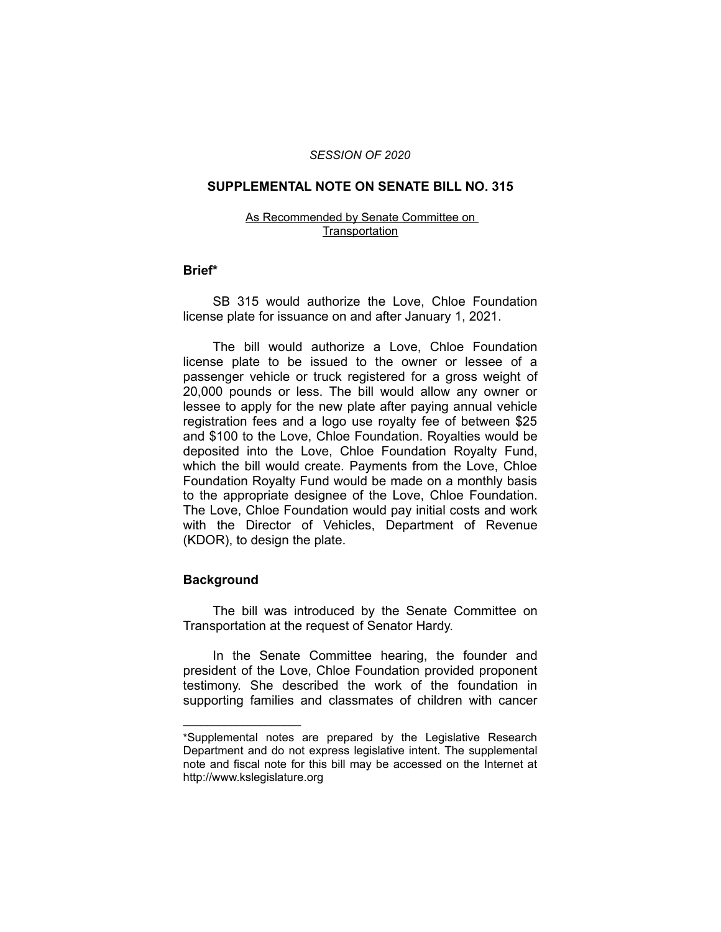### *SESSION OF 2020*

# **SUPPLEMENTAL NOTE ON SENATE BILL NO. 315**

#### As Recommended by Senate Committee on **Transportation**

## **Brief\***

SB 315 would authorize the Love, Chloe Foundation license plate for issuance on and after January 1, 2021.

The bill would authorize a Love, Chloe Foundation license plate to be issued to the owner or lessee of a passenger vehicle or truck registered for a gross weight of 20,000 pounds or less. The bill would allow any owner or lessee to apply for the new plate after paying annual vehicle registration fees and a logo use royalty fee of between \$25 and \$100 to the Love, Chloe Foundation. Royalties would be deposited into the Love, Chloe Foundation Royalty Fund, which the bill would create. Payments from the Love, Chloe Foundation Royalty Fund would be made on a monthly basis to the appropriate designee of the Love, Chloe Foundation. The Love, Chloe Foundation would pay initial costs and work with the Director of Vehicles, Department of Revenue (KDOR), to design the plate.

# **Background**

 $\overline{\phantom{a}}$  , where  $\overline{\phantom{a}}$ 

The bill was introduced by the Senate Committee on Transportation at the request of Senator Hardy.

In the Senate Committee hearing, the founder and president of the Love, Chloe Foundation provided proponent testimony. She described the work of the foundation in supporting families and classmates of children with cancer

<sup>\*</sup>Supplemental notes are prepared by the Legislative Research Department and do not express legislative intent. The supplemental note and fiscal note for this bill may be accessed on the Internet at http://www.kslegislature.org